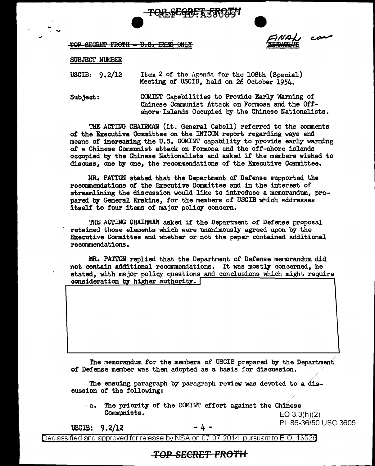



## TOP SECRET FROTH = U.S. EYES ONLY

## SUBJECT NUMBER

·'

.. ' """'

> USOIB: 9. 2/12 Item 2 of the Agenda for the 108th (Special) Meeting of USCIB, held on 26 October 1954.

Subject: COMINT Capabilities to Provide Early Warning of Chinese Communist Attack on Formosa and the Offshore· Islands Occupied by the Chinese Nationalists.

THE ACTING CHAIRMAN (Lt. General Cabell) referred to the comments *ot* the Executive Committee on the INTCOM report regarding ways and means of increasing the U.S. COMINT capability to provide early warning of a Chinese Communist attack on Fonnosa and the off-shore islands occupied by the Chinese Nationalists and asked if the members wished to discuss, one by one, the recommendations of the Executive Committee.

MR. PATTON stated that the Department of Defense supported the recommendations of the Executive Committee and in the interest of streamlining the discussion would like to introduce a memorandum., prepared by General Erskine, tor the members of USCIB which addresses itself to four items of major policy concern.

THE ACTING CHAIRMAN asked it the Department of Defense proposal retained those elements which were unanimously agreed upon by the Executive Ccmmittee and whether or not the paper contained additional recommendations •

.MR. PATTON replied that the Department of Defense memorandum. did not contain additional recommendations. It was mostly concemed, he stated, with major policy questions and conclusions which might require consideration by higher authority.  $\lceil$ 

The memorandum for the members of USCIB prepared by the Department *ot* Defense member was then adopted as a basis for discussion.

The ensuing paragraph by paragraph review was devoted to a.discussion of the following:

a. The priority of the COMINT effort against the Chinese<br>Communists.  $FQ 3.3$ 

EO  $3.3(h)(2)$ USCIB:  $9.2/12$  - 4 - PL 86-36/50 USC 3605

Declassified and approved for release by NSA on 07-07-2014 pursuantto E.O. 1352a

## TOP SECRET FROTH